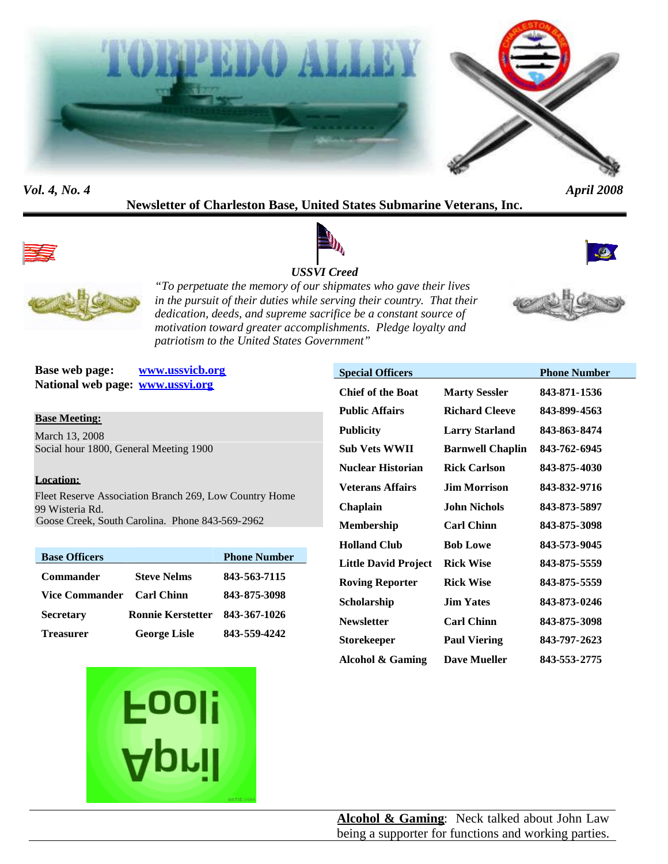



## *Vol. 4, No. 4 April 2008*

# **Newsletter of Charleston Base, United States Submarine Veterans, Inc.**





## *USSVI Creed*





*"To perpetuate the memory of our shipmates who gave their lives in the pursuit of their duties while serving their country. That their dedication, deeds, and supreme sacrifice be a constant source of motivation toward greater accomplishments. Pledge loyalty and patriotism to the United States Government"*



**Base web page: www.ussvicb.org National web page: www.ussvi.org**

#### **Base Meeting:**

March 13, 2008 Social hour 1800, General Meeting 1900

#### **Location:**

Fleet Reserve Association Branch 269, Low Country Home 99 Wisteria Rd. Goose Creek, South Carolina. Phone 843-569-2962

| <b>Base Officers</b>  |                          | <b>Phone Number</b> |
|-----------------------|--------------------------|---------------------|
| <b>Commander</b>      | <b>Steve Nelms</b>       | 843-563-7115        |
| <b>Vice Commander</b> | <b>Carl Chinn</b>        | 843-875-3098        |
| <b>Secretary</b>      | <b>Ronnie Kerstetter</b> | 843-367-1026        |
| <b>Treasurer</b>      | <b>George Lisle</b>      | 843-559-4242        |



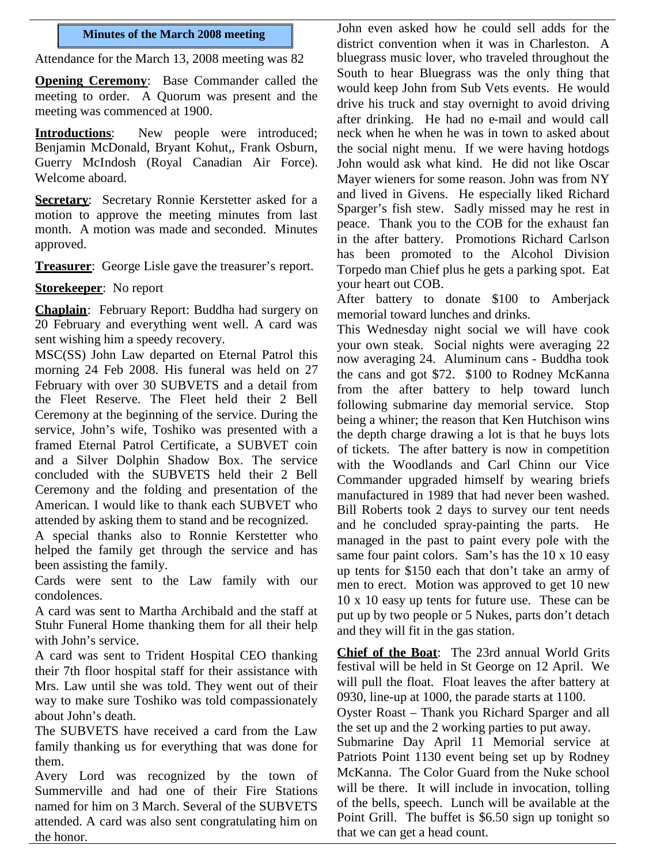### **Minutes of the March 2008 meeting**

Attendance for the March 13, 2008 meeting was 82

**Opening Ceremony:** Base Commander called the meeting to order. A Quorum was present and the meeting was commenced at 1900.

**Introductions**: New people were introduced; Benjamin McDonald, Bryant Kohut,, Frank Osburn, Guerry McIndosh (Royal Canadian Air Force). Welcome aboard.

**Secretary**: Secretary Ronnie Kerstetter asked for a motion to approve the meeting minutes from last month. A motion was made and seconded. Minutes approved.

**Treasurer:** George Lisle gave the treasurer's report.

**Storekeeper**: No report

**Chaplain**: February Report: Buddha had surgery on 20 February and everything went well. A card was sent wishing him a speedy recovery.

MSC(SS) John Law departed on Eternal Patrol this morning 24 Feb 2008. His funeral was held on 27 February with over 30 SUBVETS and a detail from the Fleet Reserve. The Fleet held their 2 Bell Ceremony at the beginning of the service. During the service, John's wife, Toshiko was presented with a framed Eternal Patrol Certificate, a SUBVET coin and a Silver Dolphin Shadow Box. The service concluded with the SUBVETS held their 2 Bell Ceremony and the folding and presentation of the American. I would like to thank each SUBVET who attended by asking them to stand and be recognized.

A special thanks also to Ronnie Kerstetter who helped the family get through the service and has been assisting the family.

Cards were sent to the Law family with our condolences.

A card was sent to Martha Archibald and the staff at Stuhr Funeral Home thanking them for all their help with John's service.

A card was sent to Trident Hospital CEO thanking their 7th floor hospital staff for their assistance with Mrs. Law until she was told. They went out of their way to make sure Toshiko was told compassionately about John's death.

The SUBVETS have received a card from the Law family thanking us for everything that was done for them.

Avery Lord was recognized by the town of Summerville and had one of their Fire Stations named for him on 3 March. Several of the SUBVETS attended. A card was also sent congratulating him on the honor.

John even asked how he could sell adds for the district convention when it was in Charleston. A bluegrass music lover, who traveled throughout the South to hear Bluegrass was the only thing that would keep John from Sub Vets events. He would drive his truck and stay overnight to avoid driving after drinking. He had no e-mail and would call neck when he when he was in town to asked about the social night menu. If we were having hotdogs John would ask what kind. He did not like Oscar Mayer wieners for some reason. John was from NY and lived in Givens. He especially liked Richard Sparger's fish stew. Sadly missed may he rest in peace. Thank you to the COB for the exhaust fan in the after battery. Promotions Richard Carlson has been promoted to the Alcohol Division Torpedo man Chief plus he gets a parking spot. Eat your heart out COB.

After battery to donate \$100 to Amberjack memorial toward lunches and drinks.

This Wednesday night social we will have cook your own steak. Social nights were averaging 22 now averaging 24. Aluminum cans - Buddha took the cans and got \$72. \$100 to Rodney McKanna from the after battery to help toward lunch following submarine day memorial service. Stop being a whiner; the reason that Ken Hutchison wins the depth charge drawing a lot is that he buys lots of tickets. The after battery is now in competition with the Woodlands and Carl Chinn our Vice Commander upgraded himself by wearing briefs manufactured in 1989 that had never been washed. Bill Roberts took 2 days to survey our tent needs and he concluded spray-painting the parts. He managed in the past to paint every pole with the same four paint colors. Sam's has the 10 x 10 easy up tents for \$150 each that don't take an army of men to erect. Motion was approved to get 10 new 10 x 10 easy up tents for future use. These can be put up by two people or 5 Nukes, parts don't detach and they will fit in the gas station.

**Chief of the Boat**: The 23rd annual World Grits festival will be held in St George on 12 April. We will pull the float. Float leaves the after battery at 0930, line-up at 1000, the parade starts at 1100.

Oyster Roast – Thank you Richard Sparger and all the set up and the 2 working parties to put away.

Submarine Day April 11 Memorial service at Patriots Point 1130 event being set up by Rodney McKanna. The Color Guard from the Nuke school will be there. It will include in invocation, tolling of the bells, speech. Lunch will be available at the Point Grill. The buffet is \$6.50 sign up tonight so that we can get a head count.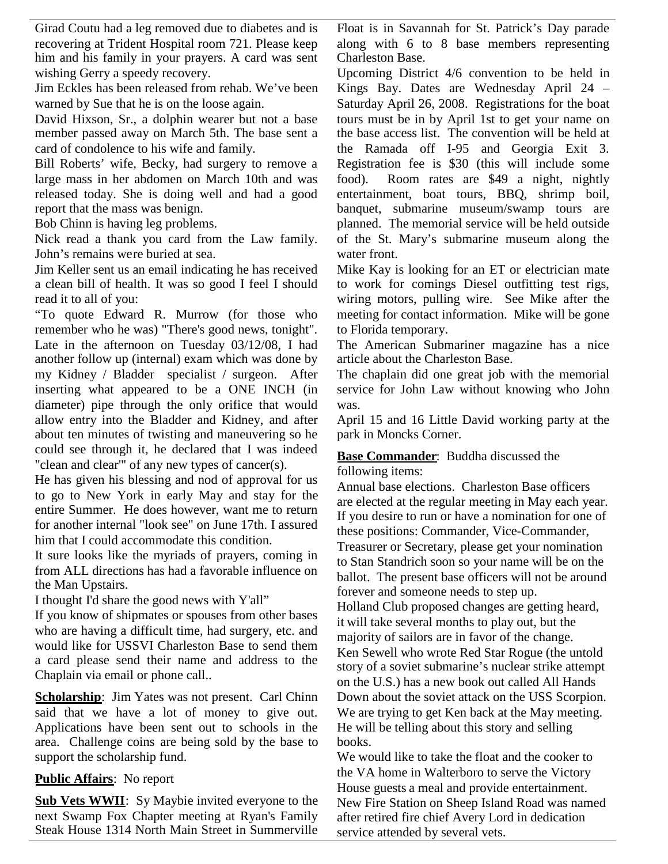Girad Coutu had a leg removed due to diabetes and is recovering at Trident Hospital room 721. Please keep him and his family in your prayers. A card was sent wishing Gerry a speedy recovery.

Jim Eckles has been released from rehab. We've been warned by Sue that he is on the loose again.

David Hixson, Sr., a dolphin wearer but not a base member passed away on March 5th. The base sent a card of condolence to his wife and family.

Bill Roberts' wife, Becky, had surgery to remove a large mass in her abdomen on March 10th and was released today. She is doing well and had a good report that the mass was benign.

Bob Chinn is having leg problems.

Nick read a thank you card from the Law family. John's remains were buried at sea.

Jim Keller sent us an email indicating he has received a clean bill of health. It was so good I feel I should read it to all of you:

"To quote Edward R. Murrow (for those who remember who he was) "There's good news, tonight". Late in the afternoon on Tuesday 03/12/08, I had another follow up (internal) exam which was done by my Kidney / Bladder specialist / surgeon. After inserting what appeared to be a ONE INCH (in diameter) pipe through the only orifice that would allow entry into the Bladder and Kidney, and after about ten minutes of twisting and maneuvering so he could see through it, he declared that I was indeed "clean and clear'" of any new types of cancer(s).

He has given his blessing and nod of approval for us to go to New York in early May and stay for the entire Summer. He does however, want me to return for another internal "look see" on June 17th. I assured him that I could accommodate this condition.

It sure looks like the myriads of prayers, coming in from ALL directions has had a favorable influence on the Man Upstairs.

I thought I'd share the good news with Y'all"

If you know of shipmates or spouses from other bases who are having a difficult time, had surgery, etc. and would like for USSVI Charleston Base to send them a card please send their name and address to the Chaplain via email or phone call..

**Scholarship**: Jim Yates was not present. Carl Chinn said that we have a lot of money to give out. Applications have been sent out to schools in the area. Challenge coins are being sold by the base to support the scholarship fund.

## **Public Affairs**: No report

**Sub Vets WWII**: Sy Maybie invited everyone to the next Swamp Fox Chapter meeting at Ryan's Family Steak House 1314 North Main Street in Summerville Float is in Savannah for St. Patrick's Day parade along with 6 to 8 base members representing Charleston Base.

Upcoming District 4/6 convention to be held in Kings Bay. Dates are Wednesday April 24 – Saturday April 26, 2008. Registrations for the boat tours must be in by April 1st to get your name on the base access list. The convention will be held at the Ramada off I-95 and Georgia Exit 3. Registration fee is \$30 (this will include some food). Room rates are \$49 a night, nightly entertainment, boat tours, BBQ, shrimp boil, banquet, submarine museum/swamp tours are planned. The memorial service will be held outside of the St. Mary's submarine museum along the water front.

Mike Kay is looking for an ET or electrician mate to work for comings Diesel outfitting test rigs, wiring motors, pulling wire. See Mike after the meeting for contact information. Mike will be gone to Florida temporary.

The American Submariner magazine has a nice article about the Charleston Base.

The chaplain did one great job with the memorial service for John Law without knowing who John was.

April 15 and 16 Little David working party at the park in Moncks Corner.

## **Base Commander**: Buddha discussed the following items:

Annual base elections. Charleston Base officers are elected at the regular meeting in May each year. If you desire to run or have a nomination for one of these positions: Commander, Vice-Commander, Treasurer or Secretary, please get your nomination to Stan Standrich soon so your name will be on the ballot. The present base officers will not be around forever and someone needs to step up.

Holland Club proposed changes are getting heard, it will take several months to play out, but the majority of sailors are in favor of the change. Ken Sewell who wrote Red Star Rogue (the untold story of a soviet submarine's nuclear strike attempt on the U.S.) has a new book out called All Hands Down about the soviet attack on the USS Scorpion. We are trying to get Ken back at the May meeting. He will be telling about this story and selling books.

We would like to take the float and the cooker to the VA home in Walterboro to serve the Victory House guests a meal and provide entertainment. New Fire Station on Sheep Island Road was named after retired fire chief Avery Lord in dedication service attended by several vets.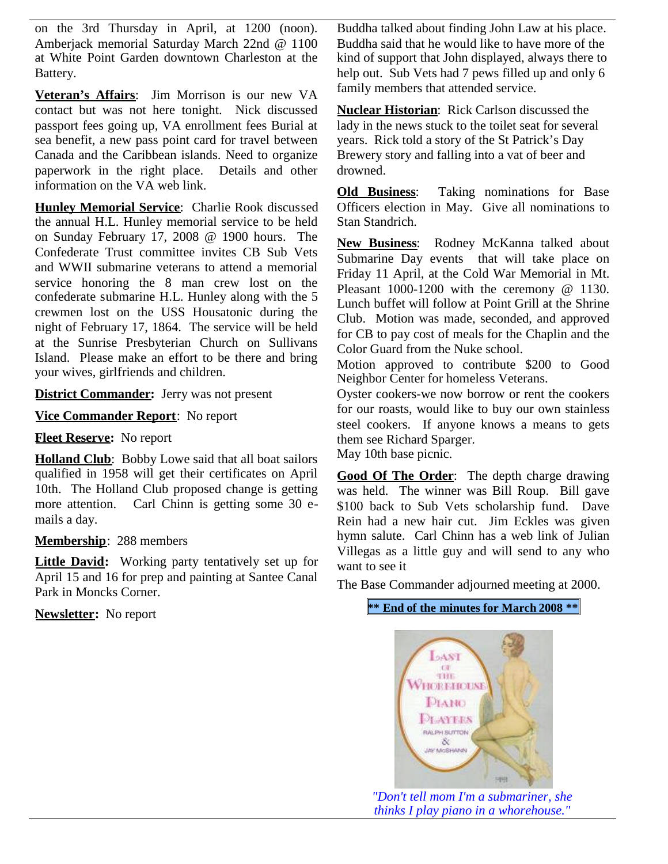on the 3rd Thursday in April, at 1200 (noon). Amberjack memorial Saturday March 22nd @ 1100 at White Point Garden downtown Charleston at the Battery.

**Veteran's Affairs**: Jim Morrison is our new VA contact but was not here tonight. Nick discussed passport fees going up, VA enrollment fees Burial at sea benefit, a new pass point card for travel between Canada and the Caribbean islands. Need to organize paperwork in the right place. Details and other information on the VA web link.

**Hunley Memorial Service**: Charlie Rook discussed the annual H.L. Hunley memorial service to be held on Sunday February 17, 2008 @ 1900 hours. The Confederate Trust committee invites CB Sub Vets and WWII submarine veterans to attend a memorial service honoring the 8 man crew lost on the confederate submarine H.L. Hunley along with the 5 crewmen lost on the USS Housatonic during the night of February 17, 1864. The service will be held at the Sunrise Presbyterian Church on Sullivans Island. Please make an effort to be there and bring your wives, girlfriends and children.

**District Commander:** Jerry was not present

**Vice Commander Report**: No report

**Fleet Reserve:** No report

**Holland Club**: Bobby Lowe said that all boat sailors qualified in 1958 will get their certificates on April 10th. The Holland Club proposed change is getting more attention. Carl Chinn is getting some 30 emails a day.

## **Membership**: 288 members

**Little David:** Working party tentatively set up for April 15 and 16 for prep and painting at Santee Canal Park in Moncks Corner.

**Newsletter:** No report

Buddha talked about finding John Law at his place. Buddha said that he would like to have more of the kind of support that John displayed, always there to help out. Sub Vets had 7 pews filled up and only 6 family members that attended service.

**Nuclear Historian**: Rick Carlson discussed the lady in the news stuck to the toilet seat for several years. Rick told a story of the St Patrick's Day Brewery story and falling into a vat of beer and drowned.

**Old Business**: Taking nominations for Base Officers election in May. Give all nominations to Stan Standrich.

**New Business**: Rodney McKanna talked about Submarine Day events that will take place on Friday 11 April, at the Cold War Memorial in Mt. Pleasant 1000-1200 with the ceremony @ 1130. Lunch buffet will follow at Point Grill at the Shrine Club. Motion was made, seconded, and approved for CB to pay cost of meals for the Chaplin and the Color Guard from the Nuke school.

Motion approved to contribute \$200 to Good Neighbor Center for homeless Veterans.

Oyster cookers-we now borrow or rent the cookers for our roasts, would like to buy our own stainless steel cookers. If anyone knows a means to gets them see Richard Sparger.

May 10th base picnic.

**Good Of The Order**: The depth charge drawing was held. The winner was Bill Roup. Bill gave \$100 back to Sub Vets scholarship fund. Dave Rein had a new hair cut. Jim Eckles was given hymn salute. Carl Chinn has a web link of Julian Villegas as a little guy and will send to any who want to see it

The Base Commander adjourned meeting at 2000.

**\*\* End of the minutes for March 2008 \*\***



*"Don't tell mom I'm a submariner, she thinks I play piano in a whorehouse."*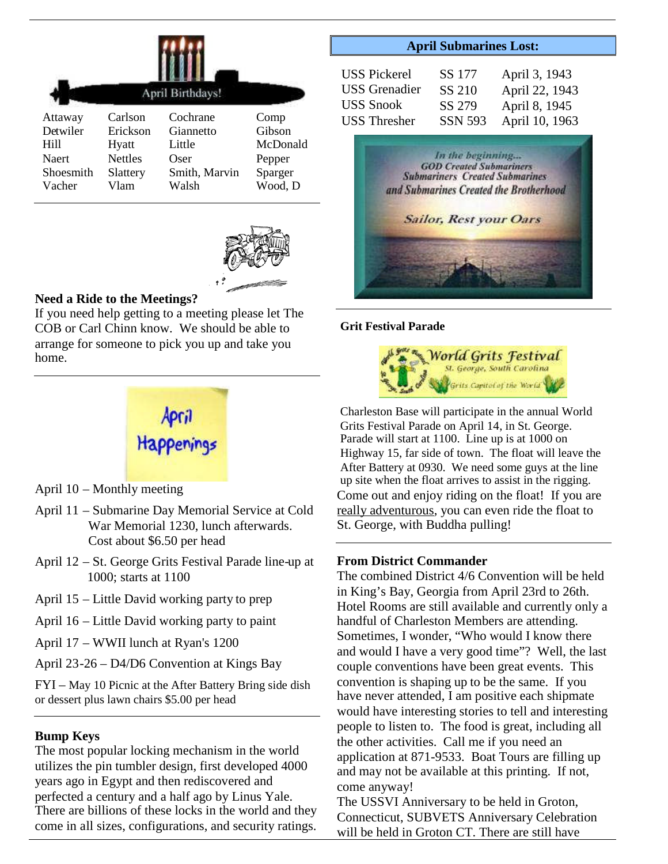|              | April Birthdays! |               |          |  |
|--------------|------------------|---------------|----------|--|
| Attaway      | Carlson          | Cochrane      | Comp     |  |
| Detwiler     | Erickson         | Giannetto     | Gibson   |  |
| Hill         | Hyatt            | Little        | McDonald |  |
| <b>Naert</b> | <b>Nettles</b>   | Oser          | Pepper   |  |
| Shoesmith    | Slattery         | Smith, Marvin | Sparger  |  |
| Vacher       | Vlam             | Walsh         | Wood, D  |  |



## **Need a Ride to the Meetings?**

If you need help getting to a meeting please let The COB or Carl Chinn know. We should be able to arrange for someone to pick you up and take you home.



- April 10 Monthly meeting
- April 11 Submarine Day Memorial Service at Cold War Memorial 1230, lunch afterwards. Cost about \$6.50 per head
- April 12 St. George Grits Festival Parade line-up at 1000; starts at 1100
- April 15 Little David working party to prep
- April 16 Little David working party to paint
- April 17 WWII lunch at Ryan's 1200
- April 23-26 D4/D6 Convention at Kings Bay

FYI – May 10 Picnic at the After Battery Bring side dish or dessert plus lawn chairs \$5.00 per head

#### **Bump Keys**

The most popular locking mechanism in the world utilizes the pin tumbler design, first developed 4000 years ago in Egypt and then rediscovered and perfected a century and a half ago by Linus Yale. There are billions of these locks in the world and they come in all sizes, configurations, and security ratings.

#### **April Submarines Lost:**

| <b>USS Pickerel</b>  | SS 177         | April 3, 1943  |
|----------------------|----------------|----------------|
| <b>USS</b> Grenadier | SS 210         | April 22, 1943 |
| <b>USS Snook</b>     | SS 279         | April 8, 1945  |
| <b>USS</b> Thresher  | <b>SSN 593</b> | April 10, 1963 |



#### **Grit Festival Parade**



Charleston Base will participate in the annual World Grits Festival Parade on April 14, in St. George. Parade will start at 1100. Line up is at 1000 on Highway 15, far side of town. The float will leave the After Battery at 0930. We need some guys at the line up site when the float arrives to assist in the rigging. Come out and enjoy riding on the float! If you are really adventurous, you can even ride the float to St. George, with Buddha pulling!

## **From District Commander**

The combined District 4/6 Convention will be held in King's Bay, Georgia from April 23rd to 26th. Hotel Rooms are still available and currently only a handful of Charleston Members are attending. Sometimes, I wonder, "Who would I know there and would I have a very good time"? Well, the last couple conventions have been great events. This convention is shaping up to be the same. If you have never attended, I am positive each shipmate would have interesting stories to tell and interesting people to listen to. The food is great, including all the other activities. Call me if you need an application at 871-9533. Boat Tours are filling up and may not be available at this printing. If not, come anyway!

The USSVI Anniversary to be held in Groton, Connecticut, SUBVETS Anniversary Celebration will be held in Groton CT. There are still have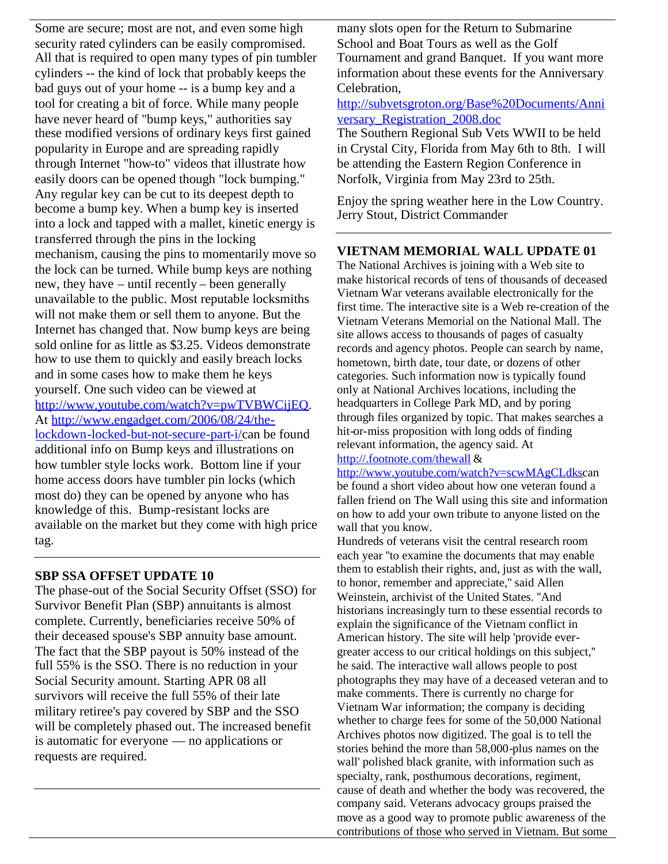Some are secure; most are not, and even some high security rated cylinders can be easily compromised. All that is required to open many types of pin tumbler cylinders -- the kind of lock that probably keeps the bad guys out of your home -- is a bump key and a tool for creating a bit of force. While many people have never heard of "bump keys," authorities say these modified versions of ordinary keys first gained popularity in Europe and are spreading rapidly through Internet "how-to" videos that illustrate how easily doors can be opened though "lock bumping." Any regular key can be cut to its deepest depth to become a bump key. When a bump key is inserted into a lock and tapped with a mallet, kinetic energy is transferred through the pins in the locking mechanism, causing the pins to momentarily move so the lock can be turned. While bump keys are nothing new, they have – until recently – been generally unavailable to the public. Most reputable locksmiths will not make them or sell them to anyone. But the Internet has changed that. Now bump keys are being sold online for as little as \$3.25. Videos demonstrate how to use them to quickly and easily breach locks and in some cases how to make them he keys yourself. One such video can be viewed at http://www.youtube.com/watch?v=pwTVBWCijEQ. At http://www.engadget.com/2006/08/24/thelockdown-locked-but-not-secure-part-i/can be found additional info on Bump keys and illustrations on how tumbler style locks work. Bottom line if your home access doors have tumbler pin locks (which most do) they can be opened by anyone who has knowledge of this. Bump-resistant locks are available on the market but they come with high price tag.

## **SBP SSA OFFSET UPDATE 10**

The phase-out of the Social Security Offset (SSO) for Survivor Benefit Plan (SBP) annuitants is almost complete. Currently, beneficiaries receive 50% of their deceased spouse's SBP annuity base amount. The fact that the SBP payout is 50% instead of the full 55% is the SSO. There is no reduction in your Social Security amount. Starting APR 08 all survivors will receive the full 55% of their late military retiree's pay covered by SBP and the SSO will be completely phased out. The increased benefit is automatic for everyone — no applications or requests are required.

many slots open for the Return to Submarine School and Boat Tours as well as the Golf Tournament and grand Banquet. If you want more information about these events for the Anniversary Celebration,

## http://subvetsgroton.org/Base%20Documents/Anni versary\_Registration\_2008.doc

The Southern Regional Sub Vets WWII to be held in Crystal City, Florida from May 6th to 8th. I will be attending the Eastern Region Conference in Norfolk, Virginia from May 23rd to 25th.

Enjoy the spring weather here in the Low Country. Jerry Stout, District Commander

## **VIETNAM MEMORIAL WALL UPDATE 01**

The National Archives is joining with a Web site to make historical records of tens of thousands of deceased Vietnam War veterans available electronically for the first time. The interactive site is a Web re-creation of the Vietnam Veterans Memorial on the National Mall. The site allows access to thousands of pages of casualty records and agency photos. People can search by name, hometown, birth date, tour date, or dozens of other categories. Such information now is typically found only at National Archives locations, including the headquarters in College Park MD, and by poring through files organized by topic. That makes searches a hit-or-miss proposition with long odds of finding relevant information, the agency said. At http://.footnote.com/thewall &

http://www.youtube.com/watch?v=scwMAgCLdkscan be found a short video about how one veteran found a fallen friend on The Wall using this site and information on how to add your own tribute to anyone listed on the wall that you know.

Hundreds of veterans visit the central research room each year ''to examine the documents that may enable them to establish their rights, and, just as with the wall, to honor, remember and appreciate,'' said Allen Weinstein, archivist of the United States. ''And historians increasingly turn to these essential records to explain the significance of the Vietnam conflict in American history. The site will help 'provide evergreater access to our critical holdings on this subject,'' he said. The interactive wall allows people to post photographs they may have of a deceased veteran and to make comments. There is currently no charge for Vietnam War information; the company is deciding whether to charge fees for some of the 50,000 National Archives photos now digitized. The goal is to tell the stories behind the more than 58,000-plus names on the wall' polished black granite, with information such as specialty, rank, posthumous decorations, regiment, cause of death and whether the body was recovered, the company said. Veterans advocacy groups praised the move as a good way to promote public awareness of the contributions of those who served in Vietnam. But some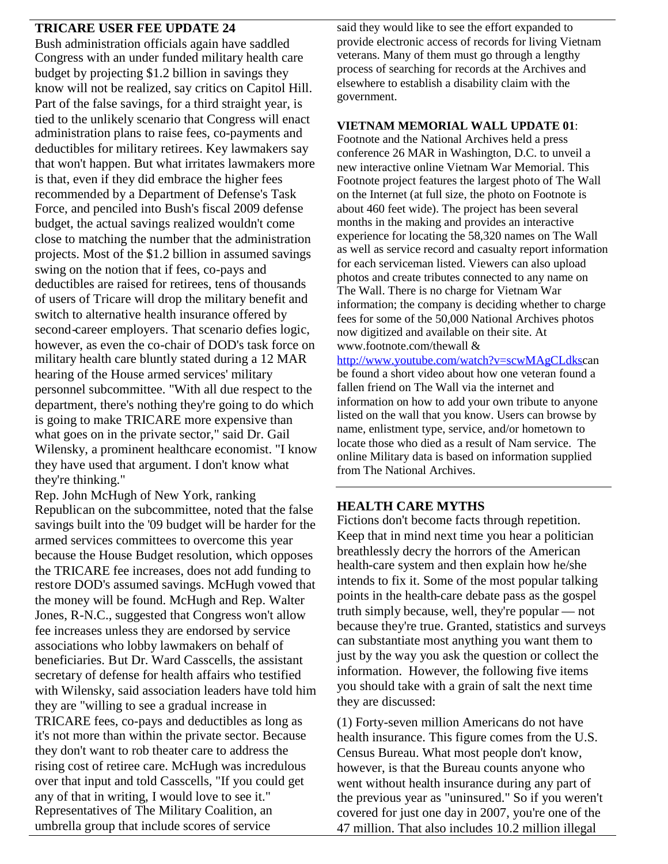## **TRICARE USER FEE UPDATE 24**

Bush administration officials again have saddled Congress with an under funded military health care budget by projecting \$1.2 billion in savings they know will not be realized, say critics on Capitol Hill. Part of the false savings, for a third straight year, is tied to the unlikely scenario that Congress will enact administration plans to raise fees, co-payments and deductibles for military retirees. Key lawmakers say that won't happen. But what irritates lawmakers more is that, even if they did embrace the higher fees recommended by a Department of Defense's Task Force, and penciled into Bush's fiscal 2009 defense budget, the actual savings realized wouldn't come close to matching the number that the administration projects. Most of the \$1.2 billion in assumed savings swing on the notion that if fees, co-pays and deductibles are raised for retirees, tens of thousands of users of Tricare will drop the military benefit and switch to alternative health insurance offered by second-career employers. That scenario defies logic, however, as even the co-chair of DOD's task force on military health care bluntly stated during a 12 MAR hearing of the House armed services' military personnel subcommittee. "With all due respect to the department, there's nothing they're going to do which is going to make TRICARE more expensive than what goes on in the private sector," said Dr. Gail Wilensky, a prominent healthcare economist. "I know they have used that argument. I don't know what they're thinking."

Rep. John McHugh of New York, ranking Republican on the subcommittee, noted that the false savings built into the '09 budget will be harder for the armed services committees to overcome this year because the House Budget resolution, which opposes the TRICARE fee increases, does not add funding to restore DOD's assumed savings. McHugh vowed that the money will be found. McHugh and Rep. Walter Jones, R-N.C., suggested that Congress won't allow fee increases unless they are endorsed by service associations who lobby lawmakers on behalf of beneficiaries. But Dr. Ward Casscells, the assistant secretary of defense for health affairs who testified with Wilensky, said association leaders have told him they are "willing to see a gradual increase in TRICARE fees, co-pays and deductibles as long as it's not more than within the private sector. Because they don't want to rob theater care to address the rising cost of retiree care. McHugh was incredulous over that input and told Casscells, "If you could get any of that in writing, I would love to see it." Representatives of The Military Coalition, an umbrella group that include scores of service

said they would like to see the effort expanded to provide electronic access of records for living Vietnam veterans. Many of them must go through a lengthy process of searching for records at the Archives and elsewhere to establish a disability claim with the government.

#### **VIETNAM MEMORIAL WALL UPDATE 01**:

Footnote and the National Archives held a press conference 26 MAR in Washington, D.C. to unveil a new interactive online Vietnam War Memorial. This Footnote project features the largest photo of The Wall on the Internet (at full size, the photo on Footnote is about 460 feet wide). The project has been several months in the making and provides an interactive experience for locating the 58,320 names on The Wall as well as service record and casualty report information for each serviceman listed. Viewers can also upload photos and create tributes connected to any name on The Wall. There is no charge for Vietnam War information; the company is deciding whether to charge fees for some of the 50,000 National Archives photos now digitized and available on their site. At www.footnote.com/thewall &

http://www.youtube.com/watch?v=scwMAgCLdkscan be found a short video about how one veteran found a fallen friend on The Wall via the internet and information on how to add your own tribute to anyone listed on the wall that you know. Users can browse by name, enlistment type, service, and/or hometown to locate those who died as a result of Nam service. The online Military data is based on information supplied from The National Archives.

## **HEALTH CARE MYTHS**

Fictions don't become facts through repetition. Keep that in mind next time you hear a politician breathlessly decry the horrors of the American health-care system and then explain how he/she intends to fix it. Some of the most popular talking points in the health-care debate pass as the gospel truth simply because, well, they're popular — not because they're true. Granted, statistics and surveys can substantiate most anything you want them to just by the way you ask the question or collect the information. However, the following five items you should take with a grain of salt the next time they are discussed:

(1) Forty-seven million Americans do not have health insurance. This figure comes from the U.S. Census Bureau. What most people don't know, however, is that the Bureau counts anyone who went without health insurance during any part of the previous year as "uninsured." So if you weren't covered for just one day in 2007, you're one of the 47 million. That also includes 10.2 million illegal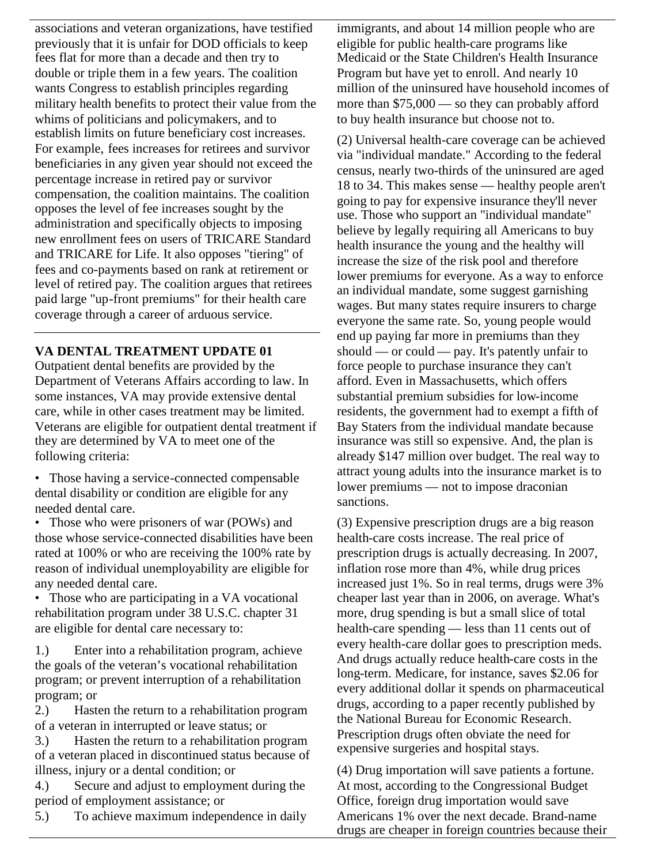associations and veteran organizations, have testified previously that it is unfair for DOD officials to keep fees flat for more than a decade and then try to double or triple them in a few years. The coalition wants Congress to establish principles regarding military health benefits to protect their value from the whims of politicians and policymakers, and to establish limits on future beneficiary cost increases. For example, fees increases for retirees and survivor beneficiaries in any given year should not exceed the percentage increase in retired pay or survivor compensation, the coalition maintains. The coalition opposes the level of fee increases sought by the administration and specifically objects to imposing new enrollment fees on users of TRICARE Standard and TRICARE for Life. It also opposes "tiering" of fees and co-payments based on rank at retirement or level of retired pay. The coalition argues that retirees paid large "up-front premiums" for their health care coverage through a career of arduous service.

## **VA DENTAL TREATMENT UPDATE 01**

Outpatient dental benefits are provided by the Department of Veterans Affairs according to law. In some instances, VA may provide extensive dental care, while in other cases treatment may be limited. Veterans are eligible for outpatient dental treatment if they are determined by VA to meet one of the following criteria:

- Those having a service-connected compensable dental disability or condition are eligible for any needed dental care.
- Those who were prisoners of war (POWs) and those whose service-connected disabilities have been rated at 100% or who are receiving the 100% rate by reason of individual unemployability are eligible for any needed dental care.
- Those who are participating in a VA vocational rehabilitation program under 38 U.S.C. chapter 31 are eligible for dental care necessary to:

1.) Enter into a rehabilitation program, achieve the goals of the veteran's vocational rehabilitation program; or prevent interruption of a rehabilitation program; or

2.) Hasten the return to a rehabilitation program of a veteran in interrupted or leave status; or

3.) Hasten the return to a rehabilitation program of a veteran placed in discontinued status because of illness, injury or a dental condition; or

4.) Secure and adjust to employment during the period of employment assistance; or

5.) To achieve maximum independence in daily

immigrants, and about 14 million people who are eligible for public health-care programs like Medicaid or the State Children's Health Insurance Program but have yet to enroll. And nearly 10 million of the uninsured have household incomes of more than \$75,000 — so they can probably afford to buy health insurance but choose not to.

(2) Universal health-care coverage can be achieved via "individual mandate." According to the federal census, nearly two-thirds of the uninsured are aged 18 to 34. This makes sense — healthy people aren't going to pay for expensive insurance they'll never use. Those who support an "individual mandate" believe by legally requiring all Americans to buy health insurance the young and the healthy will increase the size of the risk pool and therefore lower premiums for everyone. As a way to enforce an individual mandate, some suggest garnishing wages. But many states require insurers to charge everyone the same rate. So, young people would end up paying far more in premiums than they should — or could — pay. It's patently unfair to force people to purchase insurance they can't afford. Even in Massachusetts, which offers substantial premium subsidies for low-income residents, the government had to exempt a fifth of Bay Staters from the individual mandate because insurance was still so expensive. And, the plan is already \$147 million over budget. The real way to attract young adults into the insurance market is to lower premiums — not to impose draconian sanctions.

(3) Expensive prescription drugs are a big reason health-care costs increase. The real price of prescription drugs is actually decreasing. In 2007, inflation rose more than 4%, while drug prices increased just 1%. So in real terms, drugs were 3% cheaper last year than in 2006, on average. What's more, drug spending is but a small slice of total health-care spending — less than 11 cents out of every health-care dollar goes to prescription meds. And drugs actually reduce health-care costs in the long-term. Medicare, for instance, saves \$2.06 for every additional dollar it spends on pharmaceutical drugs, according to a paper recently published by the National Bureau for Economic Research. Prescription drugs often obviate the need for expensive surgeries and hospital stays.

(4) Drug importation will save patients a fortune. At most, according to the Congressional Budget Office, foreign drug importation would save Americans 1% over the next decade. Brand-name drugs are cheaper in foreign countries because their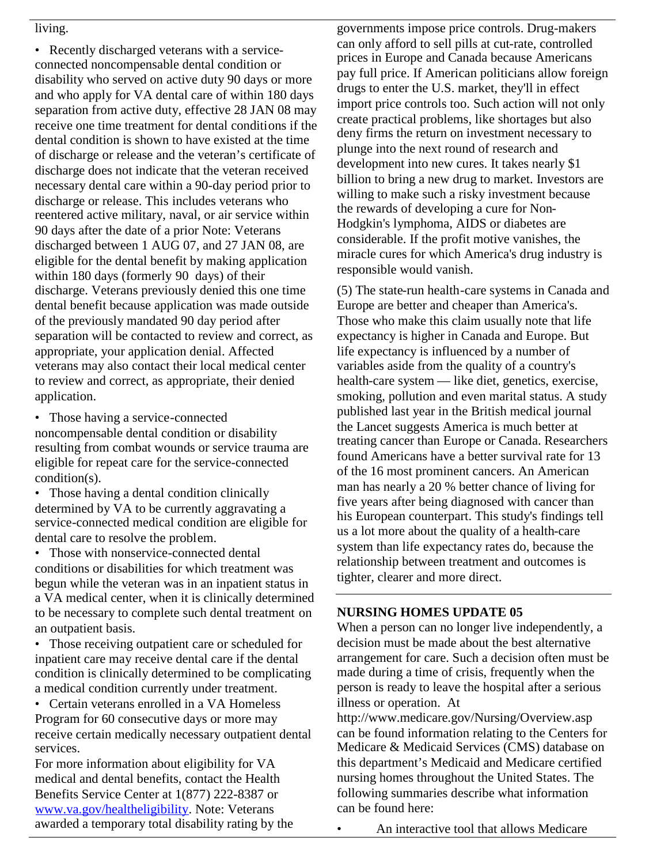### living.

• Recently discharged veterans with a serviceconnected noncompensable dental condition or disability who served on active duty 90 days or more and who apply for VA dental care of within 180 days separation from active duty, effective 28 JAN 08 may receive one time treatment for dental conditions if the dental condition is shown to have existed at the time of discharge or release and the veteran's certificate of discharge does not indicate that the veteran received necessary dental care within a 90-day period prior to discharge or release. This includes veterans who reentered active military, naval, or air service within 90 days after the date of a prior Note: Veterans discharged between 1 AUG 07, and 27 JAN 08, are eligible for the dental benefit by making application within 180 days (formerly 90 days) of their discharge. Veterans previously denied this one time dental benefit because application was made outside of the previously mandated 90 day period after separation will be contacted to review and correct, as appropriate, your application denial. Affected veterans may also contact their local medical center to review and correct, as appropriate, their denied application.

- Those having a service-connected noncompensable dental condition or disability resulting from combat wounds or service trauma are eligible for repeat care for the service-connected condition(s).
- Those having a dental condition clinically determined by VA to be currently aggravating a service-connected medical condition are eligible for dental care to resolve the problem.

• Those with nonservice-connected dental conditions or disabilities for which treatment was begun while the veteran was in an inpatient status in a VA medical center, when it is clinically determined to be necessary to complete such dental treatment on an outpatient basis.

- Those receiving outpatient care or scheduled for inpatient care may receive dental care if the dental condition is clinically determined to be complicating a medical condition currently under treatment.
- Certain veterans enrolled in a VA Homeless Program for 60 consecutive days or more may receive certain medically necessary outpatient dental services.

For more information about eligibility for VA medical and dental benefits, contact the Health Benefits Service Center at 1(877) 222-8387 or www.va.gov/healtheligibility. Note: Veterans awarded a temporary total disability rating by the governments impose price controls. Drug-makers can only afford to sell pills at cut-rate, controlled prices in Europe and Canada because Americans pay full price. If American politicians allow foreign drugs to enter the U.S. market, they'll in effect import price controls too. Such action will not only create practical problems, like shortages but also deny firms the return on investment necessary to plunge into the next round of research and development into new cures. It takes nearly \$1 billion to bring a new drug to market. Investors are willing to make such a risky investment because the rewards of developing a cure for Non-Hodgkin's lymphoma, AIDS or diabetes are considerable. If the profit motive vanishes, the miracle cures for which America's drug industry is responsible would vanish.

(5) The state-run health-care systems in Canada and Europe are better and cheaper than America's. Those who make this claim usually note that life expectancy is higher in Canada and Europe. But life expectancy is influenced by a number of variables aside from the quality of a country's health-care system — like diet, genetics, exercise, smoking, pollution and even marital status. A study published last year in the British medical journal the Lancet suggests America is much better at treating cancer than Europe or Canada. Researchers found Americans have a better survival rate for 13 of the 16 most prominent cancers. An American man has nearly a 20 % better chance of living for five years after being diagnosed with cancer than his European counterpart. This study's findings tell us a lot more about the quality of a health-care system than life expectancy rates do, because the relationship between treatment and outcomes is tighter, clearer and more direct.

## **NURSING HOMES UPDATE 05**

When a person can no longer live independently, a decision must be made about the best alternative arrangement for care. Such a decision often must be made during a time of crisis, frequently when the person is ready to leave the hospital after a serious illness or operation. At

http://www.medicare.gov/Nursing/Overview.asp can be found information relating to the Centers for Medicare & Medicaid Services (CMS) database on this department's Medicaid and Medicare certified nursing homes throughout the United States. The following summaries describe what information can be found here:

• An interactive tool that allows Medicare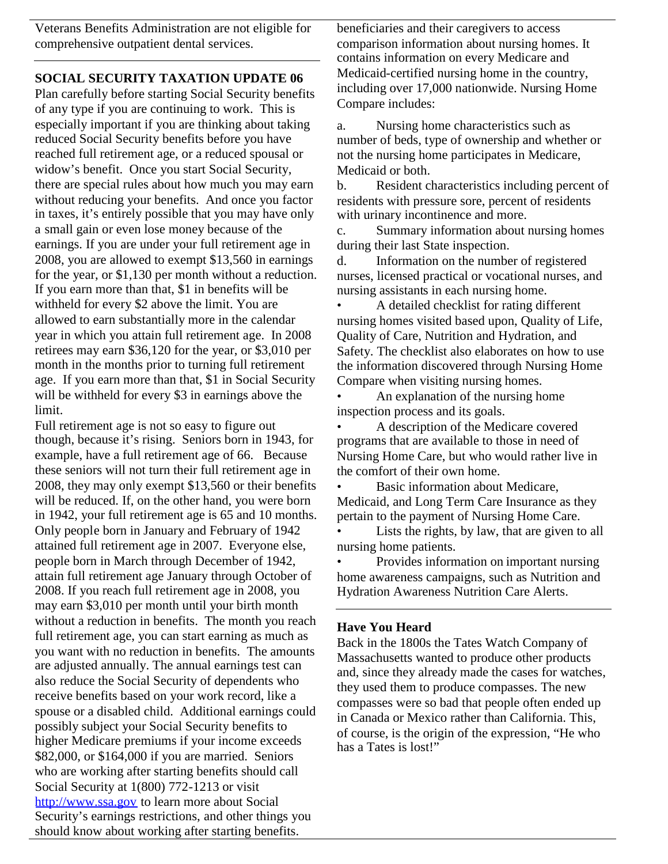Veterans Benefits Administration are not eligible for comprehensive outpatient dental services.

## **SOCIAL SECURITY TAXATION UPDATE 06**

Plan carefully before starting Social Security benefits of any type if you are continuing to work. This is especially important if you are thinking about taking reduced Social Security benefits before you have reached full retirement age, or a reduced spousal or widow's benefit. Once you start Social Security, there are special rules about how much you may earn without reducing your benefits. And once you factor in taxes, it's entirely possible that you may have only a small gain or even lose money because of the earnings. If you are under your full retirement age in 2008, you are allowed to exempt \$13,560 in earnings for the year, or \$1,130 per month without a reduction. If you earn more than that, \$1 in benefits will be withheld for every \$2 above the limit. You are allowed to earn substantially more in the calendar year in which you attain full retirement age. In 2008 retirees may earn \$36,120 for the year, or \$3,010 per month in the months prior to turning full retirement age. If you earn more than that, \$1 in Social Security will be withheld for every \$3 in earnings above the limit.

Full retirement age is not so easy to figure out though, because it's rising. Seniors born in 1943, for example, have a full retirement age of 66. Because these seniors will not turn their full retirement age in 2008, they may only exempt \$13,560 or their benefits will be reduced. If, on the other hand, you were born in 1942, your full retirement age is 65 and 10 months. Only people born in January and February of 1942 attained full retirement age in 2007. Everyone else, people born in March through December of 1942, attain full retirement age January through October of 2008. If you reach full retirement age in 2008, you may earn \$3,010 per month until your birth month without a reduction in benefits. The month you reach full retirement age, you can start earning as much as you want with no reduction in benefits. The amounts are adjusted annually. The annual earnings test can also reduce the Social Security of dependents who receive benefits based on your work record, like a spouse or a disabled child. Additional earnings could possibly subject your Social Security benefits to higher Medicare premiums if your income exceeds \$82,000, or \$164,000 if you are married. Seniors who are working after starting benefits should call Social Security at 1(800) 772-1213 or visit http://www.ssa.gov to learn more about Social Security's earnings restrictions, and other things you should know about working after starting benefits.

beneficiaries and their caregivers to access comparison information about nursing homes. It contains information on every Medicare and Medicaid-certified nursing home in the country, including over 17,000 nationwide. Nursing Home Compare includes:

a. Nursing home characteristics such as number of beds, type of ownership and whether or not the nursing home participates in Medicare, Medicaid or both.

b. Resident characteristics including percent of residents with pressure sore, percent of residents with urinary incontinence and more.

c. Summary information about nursing homes during their last State inspection.

d. Information on the number of registered nurses, licensed practical or vocational nurses, and nursing assistants in each nursing home.

• A detailed checklist for rating different nursing homes visited based upon, Quality of Life, Quality of Care, Nutrition and Hydration, and Safety. The checklist also elaborates on how to use the information discovered through Nursing Home Compare when visiting nursing homes.

An explanation of the nursing home inspection process and its goals.

• A description of the Medicare covered programs that are available to those in need of Nursing Home Care, but who would rather live in the comfort of their own home.

Basic information about Medicare, Medicaid, and Long Term Care Insurance as they pertain to the payment of Nursing Home Care.

Lists the rights, by law, that are given to all nursing home patients.

• Provides information on important nursing home awareness campaigns, such as Nutrition and Hydration Awareness Nutrition Care Alerts.

## **Have You Heard**

Back in the 1800s the Tates Watch Company of Massachusetts wanted to produce other products and, since they already made the cases for watches, they used them to produce compasses. The new compasses were so bad that people often ended up in Canada or Mexico rather than California. This, of course, is the origin of the expression, "He who has a Tates is lost!"